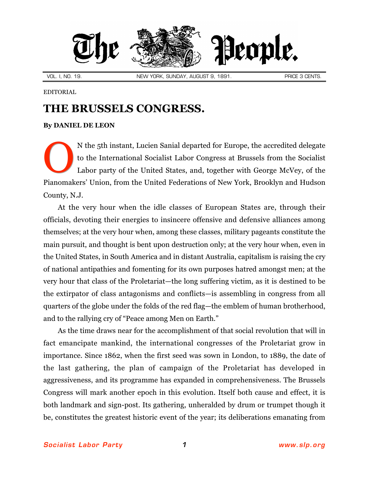

## EDITORIAL

## **THE BRUSSELS CONGRESS.**

## **By [DANIEL DE LEON](http://slp.org/De_Leon.htm)**

N the 5th instant, Lucien Sanial departed for Europe, the accredited delegate to the International Socialist Labor Congress at Brussels from the Socialist Labor party of the United States, and, together with George McVey, of the Pianomakers' Union, from the United Federations of New York, Brooklyn and Hudson County, N.J. O

At the very hour when the idle classes of European States are, through their officials, devoting their energies to insincere offensive and defensive alliances among themselves; at the very hour when, among these classes, military pageants constitute the main pursuit, and thought is bent upon destruction only; at the very hour when, even in the United States, in South America and in distant Australia, capitalism is raising the cry of national antipathies and fomenting for its own purposes hatred amongst men; at the very hour that class of the Proletariat—the long suffering victim, as it is destined to be the extirpator of class antagonisms and conflicts—is assembling in congress from all quarters of the globe under the folds of the red flag—the emblem of human brotherhood, and to the rallying cry of "Peace among Men on Earth."

As the time draws near for the accomplishment of that social revolution that will in fact emancipate mankind, the international congresses of the Proletariat grow in importance. Since 1862, when the first seed was sown in London, to 1889, the date of the last gathering, the plan of campaign of the Proletariat has developed in aggressiveness, and its programme has expanded in comprehensiveness. The Brussels Congress will mark another epoch in this evolution. Itself both cause and effect, it is both landmark and sign-post. Its gathering, unheralded by drum or trumpet though it be, constitutes the greatest historic event of the year; its deliberations emanating from